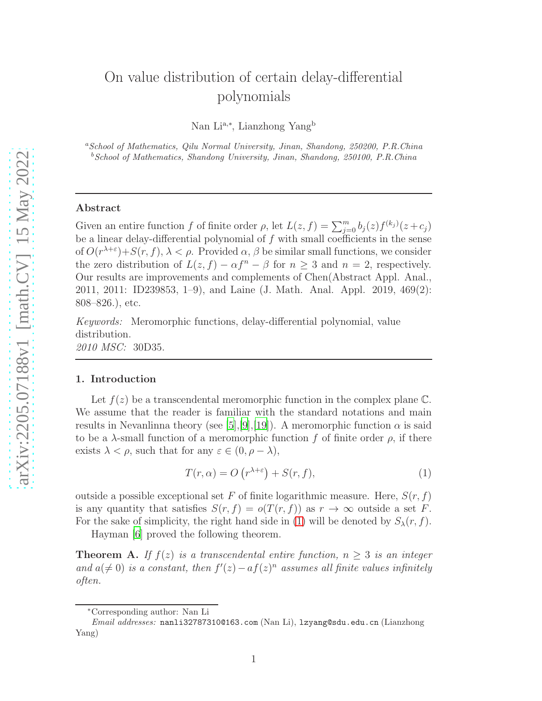# On value distribution of certain delay-differential polynomials

Nan Li<sup>a,∗</sup>, Lianzhong Yang<sup>b</sup>

<sup>a</sup>*School of Mathematics, Qilu Normal University, Jinan, Shandong, 250200, P.R.China* <sup>b</sup>*School of Mathematics, Shandong University, Jinan, Shandong, 250100, P.R.China*

#### Abstract

Given an entire function f of finite order  $\rho$ , let  $L(z, f) = \sum_{j=0}^{m} b_j(z) f^{(k_j)}(z + c_j)$ be a linear delay-differential polynomial of  $f$  with small coefficients in the sense of  $O(r^{\lambda+\varepsilon})+S(r, f), \lambda < \rho$ . Provided  $\alpha, \beta$  be similar small functions, we consider the zero distribution of  $L(z, f) - \alpha f^{n} - \beta$  for  $n \geq 3$  and  $n = 2$ , respectively. Our results are improvements and complements of Chen(Abstract Appl. Anal., 2011, 2011: ID239853, 1–9), and Laine (J. Math. Anal. Appl. 2019, 469(2): 808–826.), etc.

Keywords: Meromorphic functions, delay-differential polynomial, value distribution. 2010 MSC: 30D35.

#### 1. Introduction

Let  $f(z)$  be a transcendental meromorphic function in the complex plane C. We assume that the reader is familiar with the standard notations and main results in Nevanlinna theory (see [\[5](#page-13-0)],[\[9\]](#page-14-0),[\[19](#page-14-1)]). A meromorphic function  $\alpha$  is said to be a  $\lambda$ -small function of a meromorphic function f of finite order  $\rho$ , if there exists  $\lambda < \rho$ , such that for any  $\varepsilon \in (0, \rho - \lambda)$ ,

<span id="page-0-0"></span>
$$
T(r,\alpha) = O\left(r^{\lambda+\varepsilon}\right) + S(r,f),\tag{1}
$$

outside a possible exceptional set F of finite logarithmic measure. Here,  $S(r, f)$ is any quantity that satisfies  $S(r, f) = o(T(r, f))$  as  $r \to \infty$  outside a set F. For the sake of simplicity, the right hand side in [\(1\)](#page-0-0) will be denoted by  $S_{\lambda}(r, f)$ .

Hayman [\[6\]](#page-13-1) proved the following theorem.

<span id="page-0-1"></span>**Theorem A.** If  $f(z)$  is a transcendental entire function,  $n > 3$  is an integer and  $a(\neq 0)$  is a constant, then  $f'(z) - af(z)^n$  assumes all finite values infinitely often.

<sup>∗</sup>Corresponding author: Nan Li

*Email addresses:* nanli32787310@163.com (Nan Li), lzyang@sdu.edu.cn (Lianzhong Yang)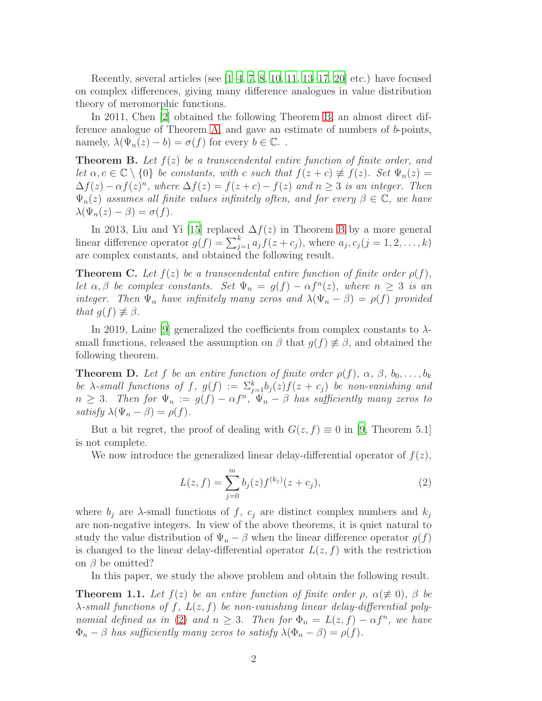Recently, several articles (see  $[1-4, 7, 8, 10, 11, 13-17, 20]$  $[1-4, 7, 8, 10, 11, 13-17, 20]$  $[1-4, 7, 8, 10, 11, 13-17, 20]$  $[1-4, 7, 8, 10, 11, 13-17, 20]$  $[1-4, 7, 8, 10, 11, 13-17, 20]$  $[1-4, 7, 8, 10, 11, 13-17, 20]$  $[1-4, 7, 8, 10, 11, 13-17, 20]$  $[1-4, 7, 8, 10, 11, 13-17, 20]$  $[1-4, 7, 8, 10, 11, 13-17, 20]$  etc.) have focused on complex differences, giving many difference analogues in value distribution theory of meromorphic functions.

In 2011, Chen [\[2](#page-13-4)] obtained the following Theorem [B,](#page-1-0) an almost direct difference analogue of Theorem [A,](#page-0-1) and gave an estimate of numbers of b-points, namely,  $\lambda(\Psi_n(z)-b)=\sigma(f)$  for every  $b\in\mathbb{C}$ ..

<span id="page-1-0"></span>**Theorem B.** Let  $f(z)$  be a transcendental entire function of finite order, and let  $\alpha, c \in \mathbb{C} \setminus \{0\}$  be constants, with c such that  $f(z+c) \not\equiv f(z)$ . Set  $\Psi_n(z) =$  $\Delta f(z) - \alpha f(z)^n$ , where  $\Delta f(z) = f(z+c) - f(z)$  and  $n \geq 3$  is an integer. Then  $\Psi_n(z)$  assumes all finite values infinitely often, and for every  $\beta \in \mathbb{C}$ , we have  $\lambda(\Psi_n(z)-\beta)=\sigma(f).$ 

In 2013, Liu and Yi [\[15](#page-14-9)] replaced  $\Delta f(z)$  in Theorem [B](#page-1-0) by a more general linear difference operator  $g(f) = \sum_{j=1}^{k} a_j f(z + c_j)$ , where  $a_j, c_j (j = 1, 2, ..., k)$ are complex constants, and obtained the following result.

**Theorem C.** Let  $f(z)$  be a transcendental entire function of finite order  $\rho(f)$ , let  $\alpha, \beta$  be complex constants. Set  $\Psi_n = g(f) - \alpha f^n(z)$ , where  $n \geq 3$  is an integer. Then  $\Psi_n$  have infinitely many zeros and  $\lambda(\Psi_n - \beta) = \rho(f)$  provided that  $g(f) \not\equiv \beta$ .

In 2019, Laine [\[9\]](#page-14-0) generalized the coefficients from complex constants to  $\lambda$ small functions, released the assumption on  $\beta$  that  $g(f) \not\equiv \beta$ , and obtained the following theorem.

**Theorem D.** Let f be an entire function of finite order  $\rho(f)$ ,  $\alpha$ ,  $\beta$ ,  $b_0, \ldots, b_k$ be  $\lambda$ -small functions of f,  $g(f) := \sum_{j=1}^{k} b_j(z) f(z + c_j)$  be non-vanishing and  $n \geq 3$ . Then for  $\Psi_n := g(f) - \alpha f^n$ ,  $\Psi_n - \beta$  has sufficiently many zeros to satisfy  $\lambda(\Psi_n - \beta) = \rho(f)$ .

But a bit regret, the proof of dealing with  $G(z, f) \equiv 0$  in [\[9](#page-14-0), Theorem 5.1] is not complete.

We now introduce the generalized linear delay-differential operator of  $f(z)$ ,

<span id="page-1-1"></span>
$$
L(z, f) = \sum_{j=0}^{m} b_j(z) f^{(k_j)}(z + c_j),
$$
\n(2)

where  $b_i$  are  $\lambda$ -small functions of f,  $c_i$  are distinct complex numbers and  $k_i$ are non-negative integers. In view of the above theorems, it is quiet natural to study the value distribution of  $\Psi_n - \beta$  when the linear difference operator  $g(f)$ is changed to the linear delay-differential operator  $L(z, f)$  with the restriction on  $\beta$  be omitted?

In this paper, we study the above problem and obtain the following result.

<span id="page-1-2"></span>**Theorem 1.1.** Let  $f(z)$  be an entire function of finite order  $\rho$ ,  $\alpha (\not\equiv 0)$ ,  $\beta$  be  $\lambda$ -small functions of f,  $L(z, f)$  be non-vanishing linear delay-differential poly-nomial defined as in [\(2\)](#page-1-1) and  $n \geq 3$ . Then for  $\Phi_n = L(z, f) - \alpha f^n$ , we have  $\Phi_n - \beta$  has sufficiently many zeros to satisfy  $\lambda(\Phi_n - \beta) = \rho(f)$ .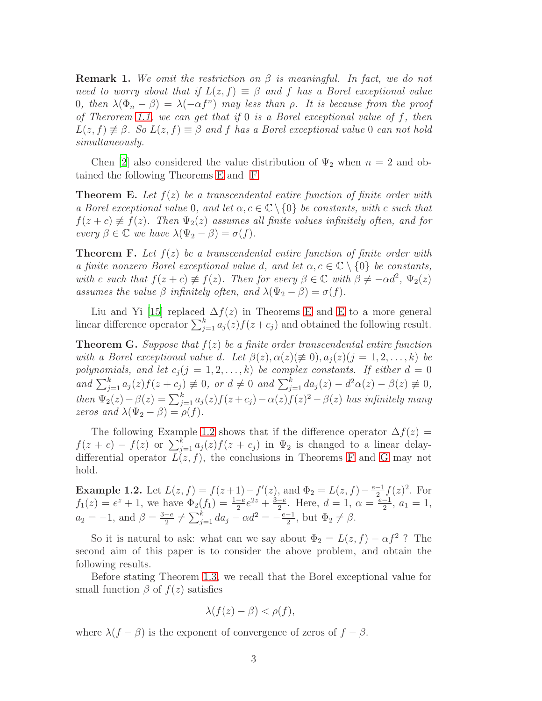**Remark 1.** We omit the restriction on  $\beta$  is meaningful. In fact, we do not need to worry about that if  $L(z, f) \equiv \beta$  and f has a Borel exceptional value 0, then  $\lambda(\Phi_n - \beta) = \lambda(-\alpha f^n)$  may less than  $\rho$ . It is because from the proof of Therorem [1.1,](#page-1-2) we can get that if  $0$  is a Borel exceptional value of f, then  $L(z, f) \not\equiv \beta$ . So  $L(z, f) \equiv \beta$  and f has a Borel exceptional value 0 can not hold simultaneously.

Chen [\[2](#page-13-4)] also considered the value distribution of  $\Psi_2$  when  $n = 2$  and obtained the following Theorems [E](#page-2-0) and [F.](#page-2-1)

<span id="page-2-0"></span>**Theorem E.** Let  $f(z)$  be a transcendental entire function of finite order with a Borel exceptional value 0, and let  $\alpha, c \in \mathbb{C} \setminus \{0\}$  be constants, with c such that  $f(z + c) \neq f(z)$ . Then  $\Psi_2(z)$  assumes all finite values infinitely often, and for every  $\beta \in \mathbb{C}$  we have  $\lambda(\Psi_2 - \beta) = \sigma(f)$ .

<span id="page-2-1"></span>**Theorem F.** Let  $f(z)$  be a transcendental entire function of finite order with a finite nonzero Borel exceptional value d, and let  $\alpha, c \in \mathbb{C} \setminus \{0\}$  be constants, with c such that  $f(z + c) \neq f(z)$ . Then for every  $\beta \in \mathbb{C}$  with  $\beta \neq -\alpha d^2$ ,  $\Psi_2(z)$ assumes the value  $\beta$  infinitely often, and  $\lambda(\Psi_2 - \beta) = \sigma(f)$ .

Liu and Yi [\[15](#page-14-9)] replaced  $\Delta f(z)$  in Theorems [E](#page-2-0) and E to a more general linear difference operator  $\sum_{j=1}^{k} a_j(z) f(z + c_j)$  and obtained the following result.

<span id="page-2-3"></span>**Theorem G.** Suppose that  $f(z)$  be a finite order transcendental entire function with a Borel exceptional value d. Let  $\beta(z), \alpha(z) (\neq 0), a_i(z) (j = 1, 2, \ldots, k)$  be polynomials, and let  $c_j$  (j = 1, 2, ..., k) be complex constants. If either  $d = 0$ and  $\sum_{j=1}^k a_j(z) f(z + c_j) \neq 0$ , or  $d \neq 0$  and  $\sum_{j=1}^k da_j(z) - d^2\alpha(z) - \beta(z) \neq 0$ , then  $\Psi_2(z) - \beta(z) = \sum_{j=1}^k a_j(z) f(z + c_j) - \alpha(z) f(z)^2 - \beta(z)$  has infinitely many zeros and  $\lambda(\Psi_2 - \beta) = \rho(f)$ .

The following Example [1.2](#page-2-2) shows that if the difference operator  $\Delta f(z)$  =  $f(z + c) - f(z)$  or  $\sum_{j=1}^{k} a_j(z) f(z + c_j)$  in  $\Psi_2$  is changed to a linear delaydifferential operator  $L(z, f)$ , the conclusions in Theorems [F](#page-2-1) and [G](#page-2-3) may not hold.

<span id="page-2-2"></span>**Example 1.2.** Let  $L(z, f) = f(z+1) - f'(z)$ , and  $\Phi_2 = L(z, f) - \frac{e-1}{2}$  $\frac{-1}{2}f(z)^2$ . For  $f_1(z) = e^z + 1$ , we have  $\Phi_2(f_1) = \frac{1-e}{2}e^{2z} + \frac{3-e}{2}$  $\frac{-e}{2}$ . Here,  $d = 1$ ,  $\alpha = \frac{e-1}{2}$  $\frac{-1}{2}$ ,  $a_1 = 1$ ,  $a_2 = -1$ , and  $\beta = \frac{3-e}{2}$  $\frac{-e}{2} \neq \sum_{j=1}^{k} da_j - \alpha d^2 = -\frac{e-1}{2}$  $\frac{-1}{2}$ , but  $\Phi_2 \neq \beta$ .

So it is natural to ask: what can we say about  $\Phi_2 = L(z, f) - \alpha f^2$ ? The second aim of this paper is to consider the above problem, and obtain the following results.

Before stating Theorem [1.3,](#page-3-0) we recall that the Borel exceptional value for small function  $\beta$  of  $f(z)$  satisfies

$$
\lambda(f(z) - \beta) < \rho(f),
$$

where  $\lambda(f - \beta)$  is the exponent of convergence of zeros of  $f - \beta$ .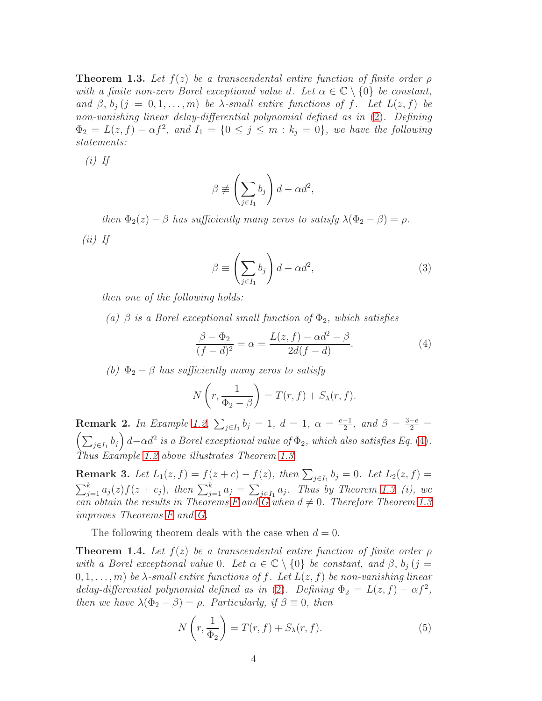<span id="page-3-0"></span>**Theorem 1.3.** Let  $f(z)$  be a transcendental entire function of finite order  $\rho$ with a finite non-zero Borel exceptional value d. Let  $\alpha \in \mathbb{C} \setminus \{0\}$  be constant, and  $\beta$ ,  $b_i$  (j = 0, 1, ..., m) be  $\lambda$ -small entire functions of f. Let  $L(z, f)$  be non-vanishing linear delay-differential polynomial defined as in [\(2\)](#page-1-1). Defining  $\Phi_2 = L(z, f) - \alpha f^2$ , and  $I_1 = \{0 \le j \le m : k_j = 0\}$ , we have the following statements:

 $(i)$  If

$$
\beta \not\equiv \left(\sum_{j\in I_1} b_j\right) d - \alpha d^2,
$$

then  $\Phi_2(z) - \beta$  has sufficiently many zeros to satisfy  $\lambda(\Phi_2 - \beta) = \rho$ .

 $(ii)$  If

$$
\beta \equiv \left(\sum_{j \in I_1} b_j\right) d - \alpha d^2,\tag{3}
$$

then one of the following holds:

(a)  $\beta$  is a Borel exceptional small function of  $\Phi_2$ , which satisfies

<span id="page-3-1"></span>
$$
\frac{\beta - \Phi_2}{(f - d)^2} = \alpha = \frac{L(z, f) - \alpha d^2 - \beta}{2d(f - d)}.
$$
 (4)

(b)  $\Phi_2 - \beta$  has sufficiently many zeros to satisfy

$$
N\left(r,\frac{1}{\Phi_2-\beta}\right) = T(r,f) + S_{\lambda}(r,f).
$$

**Remark 2.** In Example [1.2,](#page-2-2)  $\sum_{j \in I_1} b_j = 1$ ,  $d = 1$ ,  $\alpha = \frac{e-1}{2}$ **Remark 2.** In Example 1.2,  $\sum_{j \in I_1} b_j = 1$ ,  $d = 1$ ,  $\alpha = \frac{e-1}{2}$ , and  $\beta = \frac{3-e}{2} = \left(\sum_{i \in I_1} b_i\right) d - \alpha d^2$  is a Borel exceptional value of  $\Phi_2$ , which also satisfies Eq. (4).  $\left(\sum_{j\in I_1}b_j\right)d-\alpha d^2$  is a Borel exceptional value of  $\Phi_2$ , which also satisfies Eq. [\(4\)](#page-3-1). Thus Example [1.2](#page-2-2) above illustrates Theorem [1.3.](#page-3-0)

**Remark 3.** Let  $L_1(z, f) = f(z + c) - f(z)$ , then  $\sum_{j \in I_1} b_j = 0$ . Let  $L_2(z, f) =$  $\sum_{j=1}^k a_j(z) f(z+c_j)$ , then  $\sum_{j=1}^k a_j = \sum_{j \in I_1} a_j$ . Thus by Theorem [1.3](#page-3-0) (i), we can obtain the results in Theorems [F](#page-2-1) and  $\tilde{G}$  when  $d \neq 0$ . Therefore Theorem [1.3](#page-3-0) improves Theorems [F](#page-2-1) and [G.](#page-2-3)

The following theorem deals with the case when  $d = 0$ .

<span id="page-3-3"></span>**Theorem 1.4.** Let  $f(z)$  be a transcendental entire function of finite order  $\rho$ with a Borel exceptional value 0. Let  $\alpha \in \mathbb{C} \setminus \{0\}$  be constant, and  $\beta$ ,  $b_j$  (j =  $(0, 1, \ldots, m)$  be  $\lambda$ -small entire functions of f. Let  $L(z, f)$  be non-vanishing linear delay-differential polynomial defined as in [\(2\)](#page-1-1). Defining  $\Phi_2 = L(z, f) - \alpha f^2$ , then we have  $\lambda(\Phi_2 - \beta) = \rho$ . Particularly, if  $\beta \equiv 0$ , then

<span id="page-3-2"></span>
$$
N\left(r,\frac{1}{\Phi_2}\right) = T(r,f) + S_\lambda(r,f). \tag{5}
$$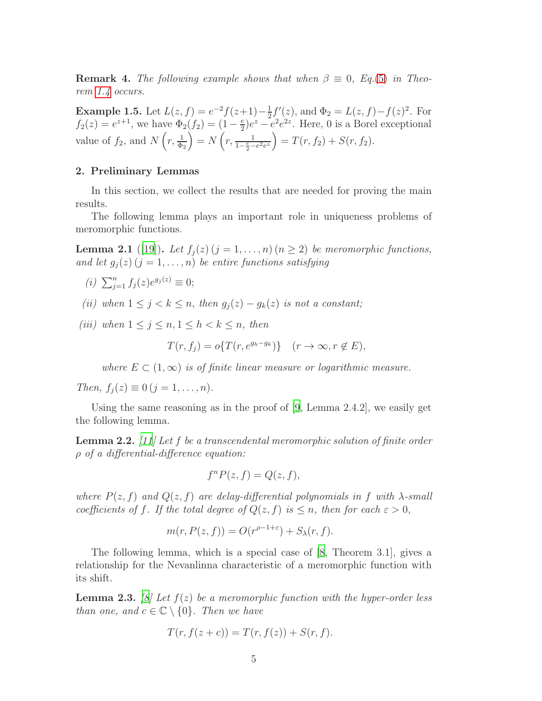**Remark 4.** The following example shows that when  $\beta \equiv 0$ , Eq.[\(5\)](#page-3-2) in Theorem [1.4](#page-3-3) occurs.

**Example 1.5.** Let  $L(z, f) = e^{-2}f(z+1) - \frac{1}{2}$  $\frac{1}{2}f'(z)$ , and  $\Phi_2 = L(z, f) - f(z)^2$ . For  $f_2(z) = e^{z+1}$ , we have  $\Phi_2(f_2) = (1 - \frac{e}{2})$  $\frac{e}{2}$ ) $e^z - e^2 e^{2z}$ . Here, 0 is a Borel exceptional value of  $f_2$ , and  $N\left(r, \frac{1}{\Phi_2}\right)$  $= N\left(r, \frac{1}{1-\frac{e}{2}-e^{2}e^{z}}\right) = T(r, f_2) + S(r, f_2).$ 

### 2. Preliminary Lemmas

In this section, we collect the results that are needed for proving the main results.

The following lemma plays an important role in uniqueness problems of meromorphic functions.

<span id="page-4-2"></span>**Lemma 2.1** ([\[19](#page-14-1)]). Let  $f_i(z)$   $(j = 1, ..., n)$   $(n \geq 2)$  be meromorphic functions, and let  $g_j(z)$   $(j = 1, \ldots, n)$  be entire functions satisfying

- (*i*)  $\sum_{j=1}^{n} f_j(z) e^{g_j(z)} \equiv 0;$
- (ii) when  $1 \leq j \leq k \leq n$ , then  $g_i(z) g_k(z)$  is not a constant;
- (iii) when  $1 \leq j \leq n, 1 \leq h < k \leq n$ , then

$$
T(r, f_j) = o\{T(r, e^{g_h - g_k})\} \quad (r \to \infty, r \notin E),
$$

where  $E \subset (1,\infty)$  is of finite linear measure or logarithmic measure.

Then,  $f_j(z) \equiv 0 \ (j = 1, \ldots, n).$ 

Using the same reasoning as in the proof of  $[9, \text{Lemma } 2.4.2]$ , we easily get the following lemma.

<span id="page-4-1"></span>**Lemma 2.2.** [\[11](#page-14-5)] Let f be a transcendental meromorphic solution of finite order ρ of a differential-difference equation:

$$
f^{n}P(z,f) = Q(z,f),
$$

where  $P(z, f)$  and  $Q(z, f)$  are delay-differential polynomials in f with  $\lambda$ -small coefficients of f. If the total degree of  $Q(z, f)$  is  $\leq n$ , then for each  $\varepsilon > 0$ ,

$$
m(r, P(z, f)) = O(r^{\rho - 1 + \varepsilon}) + S_{\lambda}(r, f).
$$

The following lemma, which is a special case of [\[8,](#page-14-3) Theorem 3.1], gives a relationship for the Nevanlinna characteristic of a meromorphic function with its shift.

<span id="page-4-0"></span>**Lemma 2.3.** [\[8](#page-14-3)] Let  $f(z)$  be a meromorphic function with the hyper-order less than one, and  $c \in \mathbb{C} \setminus \{0\}$ . Then we have

$$
T(r, f(z + c)) = T(r, f(z)) + S(r, f).
$$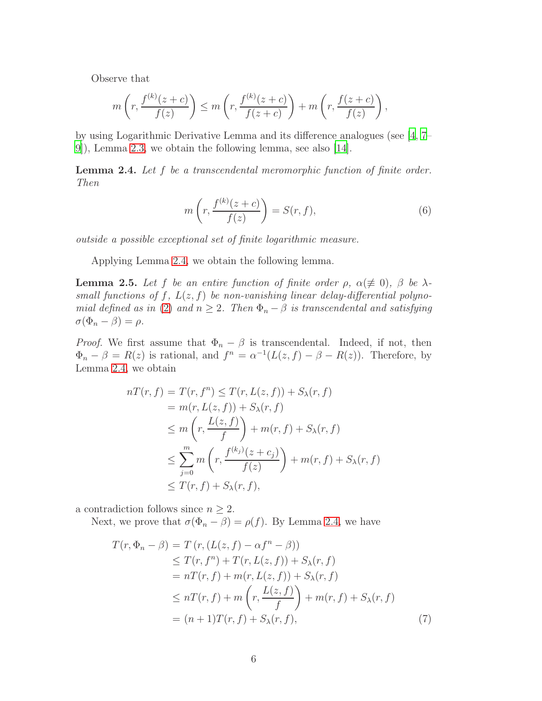Observe that

$$
m\left(r, \frac{f^{(k)}(z+c)}{f(z)}\right) \le m\left(r, \frac{f^{(k)}(z+c)}{f(z+c)}\right) + m\left(r, \frac{f(z+c)}{f(z)}\right),\,
$$

by using Logarithmic Derivative Lemma and its difference analogues (see [\[4](#page-13-3), [7](#page-14-2)– [9](#page-14-0)]), Lemma [2.3,](#page-4-0) we obtain the following lemma, see also [\[14\]](#page-14-10).

<span id="page-5-0"></span>Lemma 2.4. Let f be a transcendental meromorphic function of finite order. Then

$$
m\left(r, \frac{f^{(k)}(z+c)}{f(z)}\right) = S(r, f),\tag{6}
$$

outside a possible exceptional set of finite logarithmic measure.

Applying Lemma [2.4,](#page-5-0) we obtain the following lemma.

<span id="page-5-2"></span>**Lemma 2.5.** Let f be an entire function of finite order  $\rho$ ,  $\alpha (\not\equiv 0)$ ,  $\beta$  be  $\lambda$ small functions of f,  $L(z, f)$  be non-vanishing linear delay-differential polyno-mial defined as in [\(2\)](#page-1-1) and  $n \geq 2$ . Then  $\Phi_n - \beta$  is transcendental and satisfying  $\sigma(\Phi_n - \beta) = \rho.$ 

*Proof.* We first assume that  $\Phi_n - \beta$  is transcendental. Indeed, if not, then  $\Phi_n - \beta = R(z)$  is rational, and  $f^n = \alpha^{-1}(L(z, f) - \beta - R(z))$ . Therefore, by Lemma [2.4,](#page-5-0) we obtain

$$
nT(r, f) = T(r, f^{n}) \leq T(r, L(z, f)) + S_{\lambda}(r, f)
$$
  
\n
$$
= m(r, L(z, f)) + S_{\lambda}(r, f)
$$
  
\n
$$
\leq m\left(r, \frac{L(z, f)}{f}\right) + m(r, f) + S_{\lambda}(r, f)
$$
  
\n
$$
\leq \sum_{j=0}^{m} m\left(r, \frac{f^{(k_{j})}(z + c_{j})}{f(z)}\right) + m(r, f) + S_{\lambda}(r, f)
$$
  
\n
$$
\leq T(r, f) + S_{\lambda}(r, f),
$$

a contradiction follows since  $n \geq 2$ .

Next, we prove that  $\sigma(\Phi_n - \beta) = \rho(f)$ . By Lemma [2.4,](#page-5-0) we have

<span id="page-5-1"></span>
$$
T(r, \Phi_n - \beta) = T(r, (L(z, f) - \alpha f^n - \beta))
$$
  
\n
$$
\leq T(r, f^n) + T(r, L(z, f)) + S_{\lambda}(r, f)
$$
  
\n
$$
= nT(r, f) + m(r, L(z, f)) + S_{\lambda}(r, f)
$$
  
\n
$$
\leq nT(r, f) + m\left(r, \frac{L(z, f)}{f}\right) + m(r, f) + S_{\lambda}(r, f)
$$
  
\n
$$
= (n + 1)T(r, f) + S_{\lambda}(r, f),
$$
\n(7)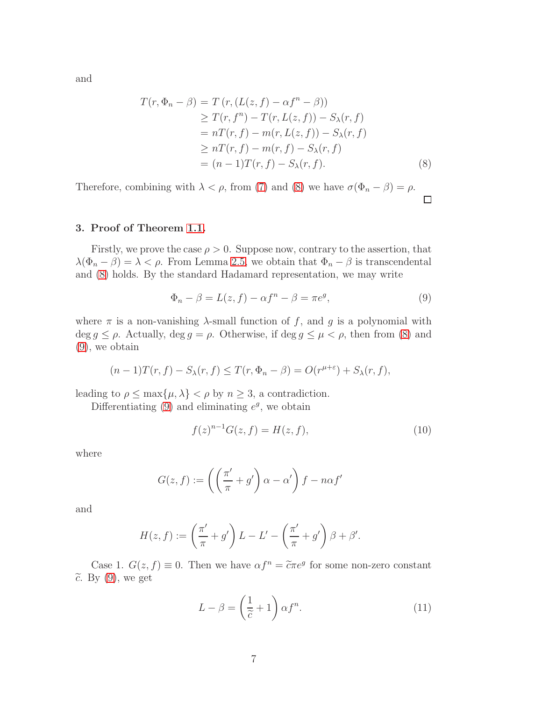and

<span id="page-6-0"></span>
$$
T(r, \Phi_n - \beta) = T(r, (L(z, f) - \alpha f^n - \beta))
$$
  
\n
$$
\geq T(r, f^n) - T(r, L(z, f)) - S_{\lambda}(r, f)
$$
  
\n
$$
= nT(r, f) - m(r, L(z, f)) - S_{\lambda}(r, f)
$$
  
\n
$$
\geq nT(r, f) - m(r, f) - S_{\lambda}(r, f)
$$
  
\n
$$
= (n - 1)T(r, f) - S_{\lambda}(r, f).
$$
 (8)

Therefore, combining with  $\lambda < \rho$ , from [\(7\)](#page-5-1) and [\(8\)](#page-6-0) we have  $\sigma(\Phi_n - \beta) = \rho$ .  $\Box$ 

# 3. Proof of Theorem [1.1.](#page-1-2)

Firstly, we prove the case  $\rho > 0$ . Suppose now, contrary to the assertion, that  $\lambda(\Phi_n - \beta) = \lambda < \rho$ . From Lemma [2.5,](#page-5-2) we obtain that  $\Phi_n - \beta$  is transcendental and [\(8\)](#page-6-0) holds. By the standard Hadamard representation, we may write

<span id="page-6-1"></span>
$$
\Phi_n - \beta = L(z, f) - \alpha f^n - \beta = \pi e^g,\tag{9}
$$

where  $\pi$  is a non-vanishing  $\lambda$ -small function of f, and q is a polynomial with deg  $g \leq \rho$ . Actually, deg  $g = \rho$ . Otherwise, if deg  $g \leq \mu < \rho$ , then from [\(8\)](#page-6-0) and [\(9\)](#page-6-1), we obtain

$$
(n-1)T(r, f) - S_{\lambda}(r, f) \leq T(r, \Phi_n - \beta) = O(r^{\mu+\varepsilon}) + S_{\lambda}(r, f),
$$

leading to  $\rho \leq \max\{\mu, \lambda\} < \rho$  by  $n \geq 3$ , a contradiction.

Differentiating  $(9)$  and eliminating  $e^g$ , we obtain

<span id="page-6-3"></span>
$$
f(z)^{n-1}G(z,f) = H(z,f),
$$
\n(10)

where

$$
G(z, f) := \left( \left( \frac{\pi'}{\pi} + g' \right) \alpha - \alpha' \right) f - n\alpha f'
$$

and

$$
H(z, f) := \left(\frac{\pi'}{\pi} + g'\right)L - L' - \left(\frac{\pi'}{\pi} + g'\right)\beta + \beta'.
$$

Case 1.  $G(z, f) \equiv 0$ . Then we have  $\alpha f^n = \tilde{c} \pi e^g$  for some non-zero constant  $\widetilde{c}$ . By [\(9\)](#page-6-1), we get

<span id="page-6-2"></span>
$$
L - \beta = \left(\frac{1}{\tilde{c}} + 1\right) \alpha f^n.
$$
 (11)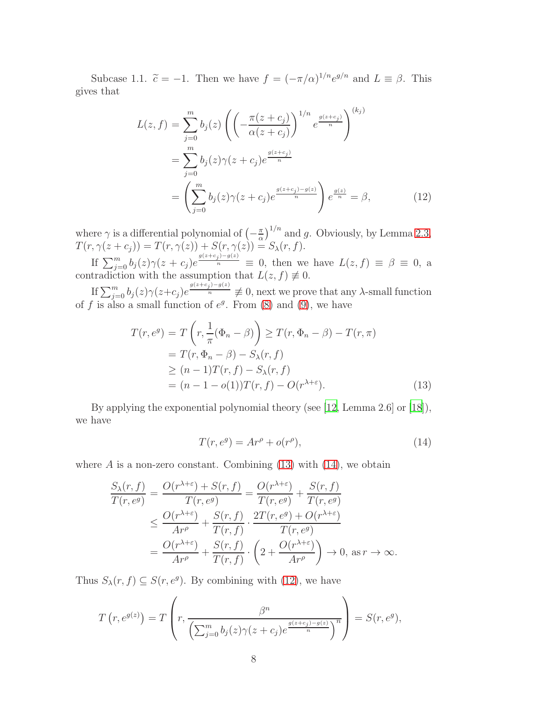Subcase 1.1.  $\tilde{c} = -1$ . Then we have  $f = (-\pi/\alpha)^{1/n} e^{g/n}$  and  $L \equiv \beta$ . This gives that

<span id="page-7-2"></span>
$$
L(z, f) = \sum_{j=0}^{m} b_j(z) \left( \left( -\frac{\pi(z + c_j)}{\alpha(z + c_j)} \right)^{1/n} e^{\frac{g(z + c_j)}{n}} \right)^{(k_j)}
$$
  
= 
$$
\sum_{j=0}^{m} b_j(z) \gamma(z + c_j) e^{\frac{g(z + c_j)}{n}}
$$
  
= 
$$
\left( \sum_{j=0}^{m} b_j(z) \gamma(z + c_j) e^{\frac{g(z + c_j) - g(z)}{n}} \right) e^{\frac{g(z)}{n}} = \beta,
$$
 (12)

where  $\gamma$  is a differential polynomial of  $\left(-\frac{\pi}{\alpha}\right)$  $\frac{\pi}{\alpha}$ )<sup>1/n</sup> and g. Obviously, by Lemma [2.3,](#page-4-0)  $T(r, \gamma(z + c_j)) = T(r, \gamma(z)) + S(r, \gamma(z)) = S_{\lambda}(r, f).$ 

If  $\sum_{j=0}^{m} b_j(z)\gamma(z+c_j)e^{\frac{g(z+c_j)-g(z)}{n}} \equiv 0$ , then we have  $L(z, f) \equiv \beta \equiv 0$ , a contradiction with the assumption that  $L(z, f) \neq 0$ .

If  $\sum_{j=0}^{m} b_j(z) \gamma(z+c_j) e^{\frac{g(z+c_j)-g(z)}{n}} \not\equiv 0$ , next we prove that any  $\lambda$ -small function of f is also a small function of  $e^g$ . From [\(8\)](#page-6-0) and [\(9\)](#page-6-1), we have

<span id="page-7-0"></span>
$$
T(r, e^g) = T\left(r, \frac{1}{\pi}(\Phi_n - \beta)\right) \ge T(r, \Phi_n - \beta) - T(r, \pi)
$$
  
=  $T(r, \Phi_n - \beta) - S_\lambda(r, f)$   
 $\ge (n-1)T(r, f) - S_\lambda(r, f)$   
=  $(n-1 - o(1))T(r, f) - O(r^{\lambda + \varepsilon}).$  (13)

By applying the exponential polynomial theory (see [\[12,](#page-14-11) Lemma 2.6] or [\[18\]](#page-14-12)), we have

<span id="page-7-1"></span>
$$
T(r, e^g) = Ar^{\rho} + o(r^{\rho}), \qquad (14)
$$

where  $A$  is a non-zero constant. Combining [\(13\)](#page-7-0) with [\(14\)](#page-7-1), we obtain

$$
\frac{S_{\lambda}(r,f)}{T(r,e^g)} = \frac{O(r^{\lambda+\varepsilon}) + S(r,f)}{T(r,e^g)} = \frac{O(r^{\lambda+\varepsilon})}{T(r,e^g)} + \frac{S(r,f)}{T(r,e^g)} \n\leq \frac{O(r^{\lambda+\varepsilon})}{Ar^{\rho}} + \frac{S(r,f)}{T(r,f)} \cdot \frac{2T(r,e^g) + O(r^{\lambda+\varepsilon})}{T(r,e^g)} \n= \frac{O(r^{\lambda+\varepsilon})}{Ar^{\rho}} + \frac{S(r,f)}{T(r,f)} \cdot \left(2 + \frac{O(r^{\lambda+\varepsilon})}{Ar^{\rho}}\right) \to 0, \text{ as } r \to \infty.
$$

Thus  $S_{\lambda}(r, f) \subseteq S(r, e^g)$ . By combining with [\(12\)](#page-7-2), we have

$$
T(r, e^{g(z)}) = T\left(r, \frac{\beta^n}{\left(\sum_{j=0}^m b_j(z)\gamma(z+c_j)e^{\frac{g(z+c_j)-g(z)}{n}}\right)^n}\right) = S(r, e^g),
$$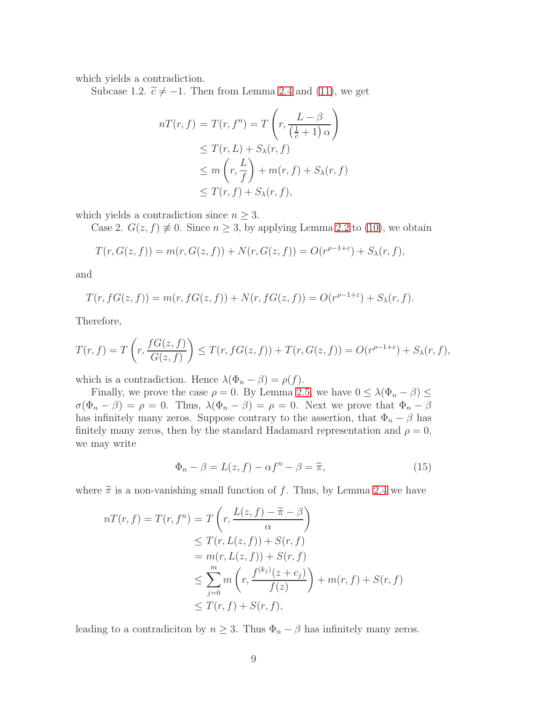which yields a contradiction.

Subcase 1.2.  $\tilde{c} \neq -1$ . Then from Lemma [2.4](#page-5-0) and [\(11\)](#page-6-2), we get

$$
nT(r, f) = T(r, f^{n}) = T\left(r, \frac{L-\beta}{(\frac{1}{\overline{c}}+1)\alpha}\right)
$$
  
\n
$$
\leq T(r, L) + S_{\lambda}(r, f)
$$
  
\n
$$
\leq m\left(r, \frac{L}{f}\right) + m(r, f) + S_{\lambda}(r, f)
$$
  
\n
$$
\leq T(r, f) + S_{\lambda}(r, f),
$$

which yields a contradiction since  $n \geq 3$ .

Case 2.  $G(z, f) \neq 0$ . Since  $n \geq 3$ , by applying Lemma [2.2](#page-4-1) to [\(10\)](#page-6-3), we obtain

$$
T(r, G(z, f)) = m(r, G(z, f)) + N(r, G(z, f)) = O(r^{\rho - 1 + \varepsilon}) + S_{\lambda}(r, f),
$$

and

$$
T(r, fG(z, f)) = m(r, fG(z, f)) + N(r, fG(z, f)) = O(r^{\rho - 1 + \varepsilon}) + S_{\lambda}(r, f).
$$

Therefore,

$$
T(r, f) = T\left(r, \frac{fG(z, f)}{G(z, f)}\right) \le T(r, fG(z, f)) + T(r, G(z, f)) = O(r^{\rho - 1 + \varepsilon}) + S_{\lambda}(r, f),
$$

which is a contradiction. Hence  $\lambda(\Phi_n - \beta) = \rho(f)$ .

Finally, we prove the case  $\rho = 0$ . By Lemma [2.5,](#page-5-2) we have  $0 \leq \lambda(\Phi_n - \beta) \leq$  $\sigma(\Phi_n - \beta) = \rho = 0$ . Thus,  $\lambda(\Phi_n - \beta) = \rho = 0$ . Next we prove that  $\Phi_n - \beta$ has infinitely many zeros. Suppose contrary to the assertion, that  $\Phi_n - \beta$  has finitely many zeros, then by the standard Hadamard representation and  $\rho = 0$ , we may write

$$
\Phi_n - \beta = L(z, f) - \alpha f^n - \beta = \tilde{\pi},\tag{15}
$$

where  $\tilde{\pi}$  is a non-vanishing small function of f. Thus, by Lemma [2.4](#page-5-0) we have

$$
nT(r, f) = T(r, fn) = T\left(r, \frac{L(z, f) - \tilde{\pi} - \beta}{\alpha}\right)
$$
  
\n
$$
\leq T(r, L(z, f)) + S(r, f)
$$
  
\n
$$
= m(r, L(z, f)) + S(r, f)
$$
  
\n
$$
\leq \sum_{j=0}^{m} m\left(r, \frac{f^{(k_j)}(z + c_j)}{f(z)}\right) + m(r, f) + S(r, f)
$$
  
\n
$$
\leq T(r, f) + S(r, f),
$$

leading to a contradiciton by  $n \geq 3$ . Thus  $\Phi_n - \beta$  has infinitely many zeros.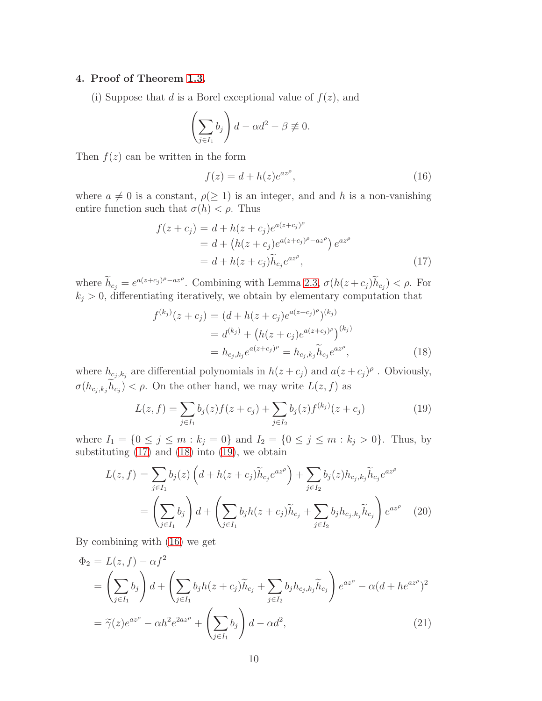## 4. Proof of Theorem [1.3.](#page-3-0)

(i) Suppose that d is a Borel exceptional value of  $f(z)$ , and

$$
\left(\sum_{j\in I_1}b_j\right)d-\alpha d^2-\beta\not\equiv 0.
$$

Then  $f(z)$  can be written in the form

<span id="page-9-3"></span>
$$
f(z) = d + h(z)e^{az^{\rho}}, \tag{16}
$$

where  $a \neq 0$  is a constant,  $\rho(\geq 1)$  is an integer, and and h is a non-vanishing entire function such that  $\sigma(h) < \rho$ . Thus

<span id="page-9-0"></span>
$$
f(z + c_j) = d + h(z + c_j)e^{a(z + c_j)^{\rho}}
$$
  
= d + (h(z + c\_j)e^{a(z + c\_j)^{\rho} - az^{\rho})}e^{az^{\rho}}  
= d + h(z + c\_j)\tilde{h}\_{c\_j}e^{az^{\rho}}, (17)

where  $\widetilde{h}_{c_j} = e^{a(z+c_j)\rho - az\rho}$ . Combining with Lemma [2.3,](#page-4-0)  $\sigma(h(z+c_j)\widetilde{h}_{c_j}) < \rho$ . For  $k_j > 0$ , differentiating iteratively, we obtain by elementary computation that

<span id="page-9-1"></span>
$$
f^{(k_j)}(z + c_j) = (d + h(z + c_j)e^{a(z + c_j)^{\rho}})^{(k_j)}
$$
  
=  $d^{(k_j)} + (h(z + c_j)e^{a(z + c_j)^{\rho}})^{(k_j)}$   
=  $h_{c_j, k_j}e^{a(z + c_j)^{\rho}} = h_{c_j, k_j} \tilde{h}_{c_j}e^{az^{\rho}},$  (18)

where  $h_{c_j,k_j}$  are differential polynomials in  $h(z+c_j)$  and  $a(z+c_j)^{\rho}$ . Obviously,  $\sigma(h_{c_j,k_j}h_{c_j}) < \rho$ . On the other hand, we may write  $L(z, f)$  as

<span id="page-9-2"></span>
$$
L(z, f) = \sum_{j \in I_1} b_j(z) f(z + c_j) + \sum_{j \in I_2} b_j(z) f^{(k_j)}(z + c_j)
$$
 (19)

where  $I_1 = \{0 \le j \le m : k_j = 0\}$  and  $I_2 = \{0 \le j \le m : k_j > 0\}$ . Thus, by substituting  $(17)$  and  $(18)$  into  $(19)$ , we obtain

<span id="page-9-5"></span>
$$
L(z, f) = \sum_{j \in I_1} b_j(z) \left( d + h(z + c_j) \widetilde{h}_{c_j} e^{az^{\rho}} \right) + \sum_{j \in I_2} b_j(z) h_{c_j, k_j} \widetilde{h}_{c_j} e^{az^{\rho}}
$$
  
= 
$$
\left( \sum_{j \in I_1} b_j \right) d + \left( \sum_{j \in I_1} b_j h(z + c_j) \widetilde{h}_{c_j} + \sum_{j \in I_2} b_j h_{c_j, k_j} \widetilde{h}_{c_j} \right) e^{az^{\rho}} (20)
$$

By combining with [\(16\)](#page-9-3) we get

<span id="page-9-4"></span>
$$
\Phi_2 = L(z, f) - \alpha f^2
$$
\n
$$
= \left(\sum_{j \in I_1} b_j\right) d + \left(\sum_{j \in I_1} b_j h(z + c_j) \tilde{h}_{c_j} + \sum_{j \in I_2} b_j h_{c_j, k_j} \tilde{h}_{c_j}\right) e^{az^{\rho}} - \alpha (d + h e^{az^{\rho}})^2
$$
\n
$$
= \tilde{\gamma}(z) e^{az^{\rho}} - \alpha h^2 e^{2az^{\rho}} + \left(\sum_{j \in I_1} b_j\right) d - \alpha d^2,
$$
\n(21)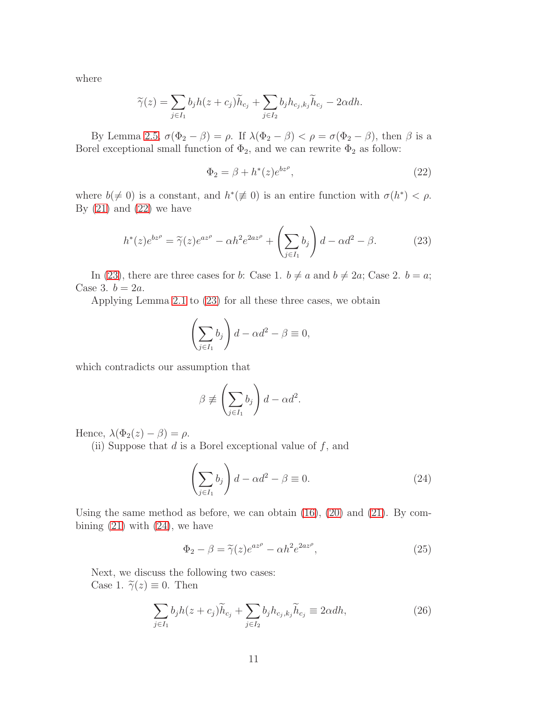where

$$
\widetilde{\gamma}(z) = \sum_{j \in I_1} b_j h(z + c_j) \widetilde{h}_{c_j} + \sum_{j \in I_2} b_j h_{c_j, k_j} \widetilde{h}_{c_j} - 2\alpha dh.
$$

By Lemma [2.5,](#page-5-2)  $\sigma(\Phi_2 - \beta) = \rho$ . If  $\lambda(\Phi_2 - \beta) < \rho = \sigma(\Phi_2 - \beta)$ , then  $\beta$  is a Borel exceptional small function of  $\Phi_2$ , and we can rewrite  $\Phi_2$  as follow:

<span id="page-10-0"></span>
$$
\Phi_2 = \beta + h^*(z)e^{bz^{\rho}},\tag{22}
$$

where  $b(\neq 0)$  is a constant, and  $h^*(\neq 0)$  is an entire function with  $\sigma(h^*) < \rho$ . By  $(21)$  and  $(22)$  we have

<span id="page-10-1"></span>
$$
h^*(z)e^{bz^{\rho}} = \tilde{\gamma}(z)e^{az^{\rho}} - \alpha h^2 e^{2az^{\rho}} + \left(\sum_{j \in I_1} b_j\right)d - \alpha d^2 - \beta.
$$
 (23)

In [\(23\)](#page-10-1), there are three cases for b: Case 1.  $b \neq a$  and  $b \neq 2a$ ; Case 2.  $b = a$ ; Case 3.  $b = 2a$ .

Applying Lemma [2.1](#page-4-2) to [\(23\)](#page-10-1) for all these three cases, we obtain

$$
\left(\sum_{j\in I_1}b_j\right)d-\alpha d^2-\beta\equiv 0,
$$

which contradicts our assumption that

$$
\beta \not\equiv \left(\sum_{j\in I_1} b_j\right)d - \alpha d^2.
$$

Hence,  $\lambda(\Phi_2(z) - \beta) = \rho$ .

(ii) Suppose that  $d$  is a Borel exceptional value of  $f$ , and

<span id="page-10-2"></span>
$$
\left(\sum_{j\in I_1} b_j\right) d - \alpha d^2 - \beta \equiv 0. \tag{24}
$$

Using the same method as before, we can obtain [\(16\)](#page-9-3), [\(20\)](#page-9-5) and [\(21\)](#page-9-4). By combining  $(21)$  with  $(24)$ , we have

<span id="page-10-3"></span>
$$
\Phi_2 - \beta = \tilde{\gamma}(z)e^{az^{\rho}} - \alpha h^2 e^{2az^{\rho}},\tag{25}
$$

Next, we discuss the following two cases: Case 1.  $\widetilde{\gamma}(z) \equiv 0$ . Then

<span id="page-10-4"></span>
$$
\sum_{j \in I_1} b_j h(z + c_j) \widetilde{h}_{c_j} + \sum_{j \in I_2} b_j h_{c_j, k_j} \widetilde{h}_{c_j} \equiv 2 \alpha dh,\tag{26}
$$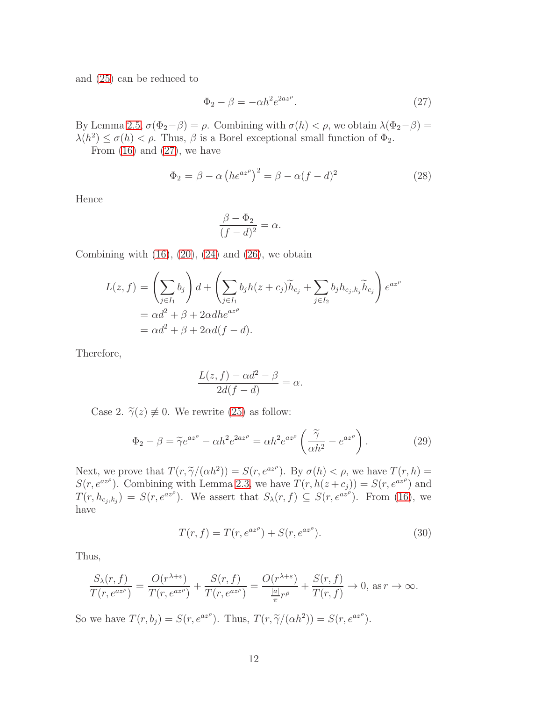and [\(25\)](#page-10-3) can be reduced to

<span id="page-11-0"></span>
$$
\Phi_2 - \beta = -\alpha h^2 e^{2az^{\rho}}.\tag{27}
$$

By Lemma [2.5,](#page-5-2)  $\sigma(\Phi_2-\beta) = \rho$ . Combining with  $\sigma(h) < \rho$ , we obtain  $\lambda(\Phi_2-\beta) =$  $\lambda(h^2) \leq \sigma(h) < \rho$ . Thus,  $\beta$  is a Borel exceptional small function of  $\Phi_2$ .

From  $(16)$  and  $(27)$ , we have

$$
\Phi_2 = \beta - \alpha \left( h e^{az^{\rho}} \right)^2 = \beta - \alpha (f - d)^2 \tag{28}
$$

Hence

$$
\frac{\beta - \Phi_2}{(f - d)^2} = \alpha.
$$

Combining with  $(16)$ ,  $(20)$ ,  $(24)$  and  $(26)$ , we obtain

$$
L(z, f) = \left(\sum_{j \in I_1} b_j\right) d + \left(\sum_{j \in I_1} b_j h(z + c_j) \widetilde{h}_{c_j} + \sum_{j \in I_2} b_j h_{c_j, k_j} \widetilde{h}_{c_j}\right) e^{az^{\rho}}
$$
  
=  $\alpha d^2 + \beta + 2\alpha dh e^{az^{\rho}}$   
=  $\alpha d^2 + \beta + 2\alpha d(f - d)$ .

Therefore,

$$
\frac{L(z,f) - \alpha d^2 - \beta}{2d(f - d)} = \alpha.
$$

Case 2.  $\widetilde{\gamma}(z) \neq 0$ . We rewrite [\(25\)](#page-10-3) as follow:

$$
\Phi_2 - \beta = \tilde{\gamma}e^{az^{\rho}} - \alpha h^2 e^{2az^{\rho}} = \alpha h^2 e^{az^{\rho}} \left(\frac{\tilde{\gamma}}{\alpha h^2} - e^{az^{\rho}}\right). \tag{29}
$$

Next, we prove that  $T(r, \tilde{\gamma}/(\alpha h^2)) = S(r, e^{az^{\rho}})$ . By  $\sigma(h) < \rho$ , we have  $T(r, h) =$ <br> $S(r, e^{az^{\rho}})$ . Consistence with I games 2.2 are have  $T(r, h)$  and  $S(r, e^{az^{\rho}})$  and  $S(r, e^{az^{\rho}})$ . Combining with Lemma [2.3,](#page-4-0) we have  $T(r, h(z + c_j)) = S(r, e^{az^{\rho}})$  and  $T(r, h_{c_j, k_j}) = S(r, e^{az^{\rho}})$ . We assert that  $S_{\lambda}(r, f) \subseteq S(r, e^{az^{\rho}})$ . From [\(16\)](#page-9-3), we have

<span id="page-11-1"></span>
$$
T(r, f) = T(r, e^{az^{\rho}}) + S(r, e^{az^{\rho}}).
$$
\n(30)

Thus,

$$
\frac{S_{\lambda}(r,f)}{T(r,e^{az^{\rho}})} = \frac{O(r^{\lambda+\varepsilon})}{T(r,e^{az^{\rho}})} + \frac{S(r,f)}{T(r,e^{az^{\rho}})} = \frac{O(r^{\lambda+\varepsilon})}{\frac{|a|}{\pi}r^{\rho}} + \frac{S(r,f)}{T(r,f)} \to 0, \text{ as } r \to \infty.
$$

So we have  $T(r, b_j) = S(r, e^{az^{\rho}})$ . Thus,  $T(r, \tilde{\gamma}/(\alpha h^2)) = S(r, e^{az^{\rho}})$ .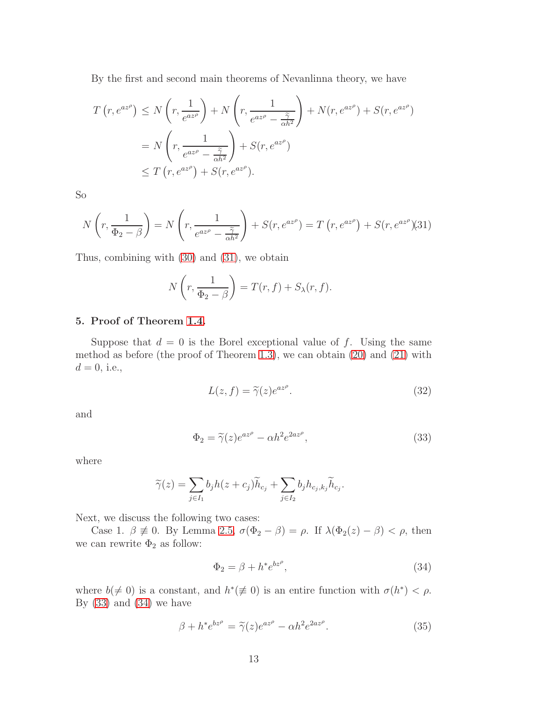By the first and second main theorems of Nevanlinna theory, we have

$$
T(r, e^{az^{\rho}}) \le N\left(r, \frac{1}{e^{az^{\rho}}}\right) + N\left(r, \frac{1}{e^{az^{\rho}} - \frac{\tilde{\gamma}}{\alpha h^2}}\right) + N(r, e^{az^{\rho}}) + S(r, e^{az^{\rho}})
$$
  
=  $N\left(r, \frac{1}{e^{az^{\rho}} - \frac{\tilde{\gamma}}{\alpha h^2}}\right) + S(r, e^{az^{\rho}})$   
 $\le T(r, e^{az^{\rho}}) + S(r, e^{az^{\rho}}).$ 

So

<span id="page-12-0"></span>
$$
N\left(r, \frac{1}{\Phi_2 - \beta}\right) = N\left(r, \frac{1}{e^{az^{\rho}} - \frac{\tilde{\gamma}}{\alpha h^2}}\right) + S(r, e^{az^{\rho}}) = T\left(r, e^{az^{\rho}}\right) + S(r, e^{az^{\rho}})
$$
(31)

Thus, combining with [\(30\)](#page-11-1) and [\(31\)](#page-12-0), we obtain

$$
N\left(r, \frac{1}{\Phi_2 - \beta}\right) = T(r, f) + S_{\lambda}(r, f).
$$

## 5. Proof of Theorem [1.4.](#page-3-3)

Suppose that  $d = 0$  is the Borel exceptional value of f. Using the same method as before (the proof of Theorem [1.3\)](#page-3-0), we can obtain [\(20\)](#page-9-5) and [\(21\)](#page-9-4) with  $d = 0$ , i.e.,

<span id="page-12-4"></span>
$$
L(z, f) = \tilde{\gamma}(z)e^{az^{\rho}}.
$$
\n(32)

and

<span id="page-12-1"></span>
$$
\Phi_2 = \tilde{\gamma}(z)e^{az^{\rho}} - \alpha h^2 e^{2az^{\rho}},\tag{33}
$$

where

$$
\widetilde{\gamma}(z) = \sum_{j \in I_1} b_j h(z + c_j) \widetilde{h}_{c_j} + \sum_{j \in I_2} b_j h_{c_j, k_j} \widetilde{h}_{c_j}.
$$

Next, we discuss the following two cases:

Case 1.  $\beta \neq 0$ . By Lemma [2.5,](#page-5-2)  $\sigma(\Phi_2 - \beta) = \rho$ . If  $\lambda(\Phi_2(z) - \beta) < \rho$ , then we can rewrite  $\Phi_2$  as follow:

<span id="page-12-2"></span>
$$
\Phi_2 = \beta + h^* e^{bz^{\rho}},\tag{34}
$$

where  $b(\neq 0)$  is a constant, and  $h^*(\neq 0)$  is an entire function with  $\sigma(h^*) < \rho$ . By  $(33)$  and  $(34)$  we have

<span id="page-12-3"></span>
$$
\beta + h^* e^{bz^{\rho}} = \tilde{\gamma}(z) e^{az^{\rho}} - \alpha h^2 e^{2az^{\rho}}.
$$
\n(35)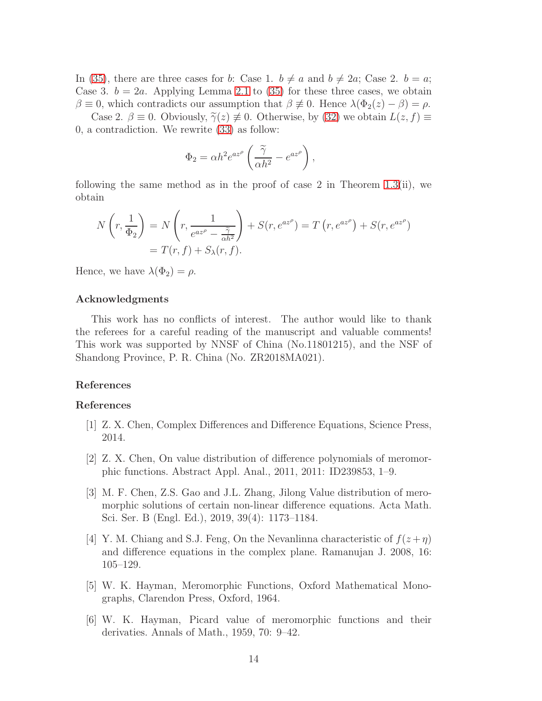In [\(35\)](#page-12-3), there are three cases for b: Case 1.  $b \neq a$  and  $b \neq 2a$ ; Case 2.  $b = a$ ; Case 3.  $b = 2a$ . Applying Lemma [2.1](#page-4-2) to [\(35\)](#page-12-3) for these three cases, we obtain  $\beta \equiv 0$ , which contradicts our assumption that  $\beta \not\equiv 0$ . Hence  $\lambda(\Phi_2(z) - \beta) = \rho$ . Case 2.  $\beta \equiv 0$ . Obviously,  $\widetilde{\gamma}(z) \not\equiv 0$ . Otherwise, by [\(32\)](#page-12-4) we obtain  $L(z, f) \equiv$ 

0, a contradiction. We rewrite [\(33\)](#page-12-1) as follow:

$$
\Phi_2 = \alpha h^2 e^{az^{\rho}} \left( \frac{\tilde{\gamma}}{\alpha h^2} - e^{az^{\rho}} \right),
$$

following the same method as in the proof of case 2 in Theorem [1.3\(](#page-3-0)ii), we obtain

$$
N\left(r, \frac{1}{\Phi_2}\right) = N\left(r, \frac{1}{e^{az^{\rho}} - \frac{\tilde{\gamma}}{\alpha h^2}}\right) + S(r, e^{az^{\rho}}) = T\left(r, e^{az^{\rho}}\right) + S(r, e^{az^{\rho}})
$$

$$
= T(r, f) + S_{\lambda}(r, f).
$$

Hence, we have  $\lambda(\Phi_2) = \rho$ .

### Acknowledgments

This work has no conflicts of interest. The author would like to thank the referees for a careful reading of the manuscript and valuable comments! This work was supported by NNSF of China (No.11801215), and the NSF of Shandong Province, P. R. China (No. ZR2018MA021).

## References

#### References

- <span id="page-13-2"></span>[1] Z. X. Chen, Complex Differences and Difference Equations, Science Press, 2014.
- <span id="page-13-4"></span>[2] Z. X. Chen, On value distribution of difference polynomials of meromorphic functions. Abstract Appl. Anal., 2011, 2011: ID239853, 1–9.
- [3] M. F. Chen, Z.S. Gao and J.L. Zhang, Jilong Value distribution of meromorphic solutions of certain non-linear difference equations. Acta Math. Sci. Ser. B (Engl. Ed.), 2019, 39(4): 1173–1184.
- <span id="page-13-3"></span>[4] Y. M. Chiang and S.J. Feng, On the Nevanlinna characteristic of  $f(z + \eta)$ and difference equations in the complex plane. Ramanujan J. 2008, 16: 105–129.
- <span id="page-13-0"></span>[5] W. K. Hayman, Meromorphic Functions, Oxford Mathematical Monographs, Clarendon Press, Oxford, 1964.
- <span id="page-13-1"></span>[6] W. K. Hayman, Picard value of meromorphic functions and their derivaties. Annals of Math., 1959, 70: 9–42.